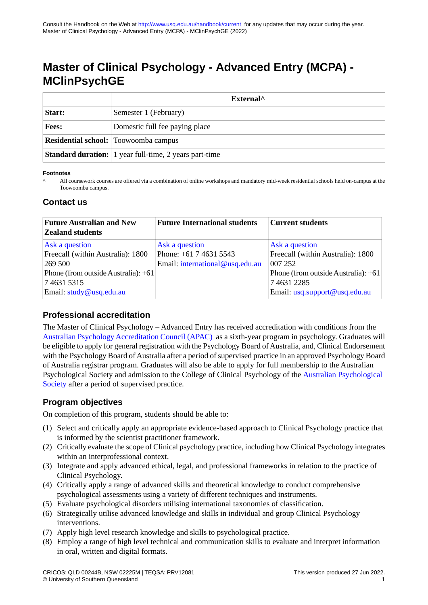# **Master of Clinical Psychology - Advanced Entry (MCPA) - MClinPsychGE**

|              | External <sup>^</sup>                                         |  |  |  |  |  |
|--------------|---------------------------------------------------------------|--|--|--|--|--|
| Start:       | Semester 1 (February)                                         |  |  |  |  |  |
| <b>Fees:</b> | Domestic full fee paying place                                |  |  |  |  |  |
|              | <b>Residential school:</b> Toowoomba campus                   |  |  |  |  |  |
|              | <b>Standard duration:</b> 1 year full-time, 2 years part-time |  |  |  |  |  |

#### **Footnotes**

All coursework courses are offered via a combination of online workshops and mandatory mid-week residential schools held on-campus at the Toowoomba campus. ^

#### **Contact us**

| <b>Future Australian and New</b>    | <b>Future International students</b> | <b>Current students</b>             |  |  |  |
|-------------------------------------|--------------------------------------|-------------------------------------|--|--|--|
| <b>Zealand students</b>             |                                      |                                     |  |  |  |
| Ask a question                      | Ask a question                       | Ask a question                      |  |  |  |
| Freecall (within Australia): 1800   | Phone: $+61$ 7 4631 5543             | Freecall (within Australia): 1800   |  |  |  |
| 269 500                             | Email: international@usq.edu.au      | 007 252                             |  |  |  |
| Phone (from outside Australia): +61 |                                      | Phone (from outside Australia): +61 |  |  |  |
| 746315315                           |                                      | 7 4 6 3 1 2 2 8 5                   |  |  |  |
| Email: study@usq.edu.au             |                                      | Email: usq.support@usq.edu.au       |  |  |  |

# **Professional accreditation**

The Master of Clinical Psychology – Advanced Entry has received accreditation with conditions from the [Australian Psychology Accreditation Council \(APAC\)](https://www.psychologycouncil.org.au/) as a sixth-year program in psychology. Graduates will be eligible to apply for general registration with the Psychology Board of Australia, and, Clinical Endorsement with the Psychology Board of Australia after a period of supervised practice in an approved Psychology Board of Australia registrar program. Graduates will also be able to apply for full membership to the Australian Psychological Society and admission to the College of Clinical Psychology of the [Australian Psychological](https://www.psychology.org.au/) [Society](https://www.psychology.org.au/) after a period of supervised practice.

# **Program objectives**

On completion of this program, students should be able to:

- (1) Select and critically apply an appropriate evidence-based approach to Clinical Psychology practice that is informed by the scientist practitioner framework.
- (2) Critically evaluate the scope of Clinical psychology practice, including how Clinical Psychology integrates within an interprofessional context.
- (3) Integrate and apply advanced ethical, legal, and professional frameworks in relation to the practice of Clinical Psychology.
- (4) Critically apply a range of advanced skills and theoretical knowledge to conduct comprehensive psychological assessments using a variety of different techniques and instruments.
- (5) Evaluate psychological disorders utilising international taxonomies of classification.
- (6) Strategically utilise advanced knowledge and skills in individual and group Clinical Psychology interventions.
- (7) Apply high level research knowledge and skills to psychological practice.
- (8) Employ a range of high level technical and communication skills to evaluate and interpret information in oral, written and digital formats.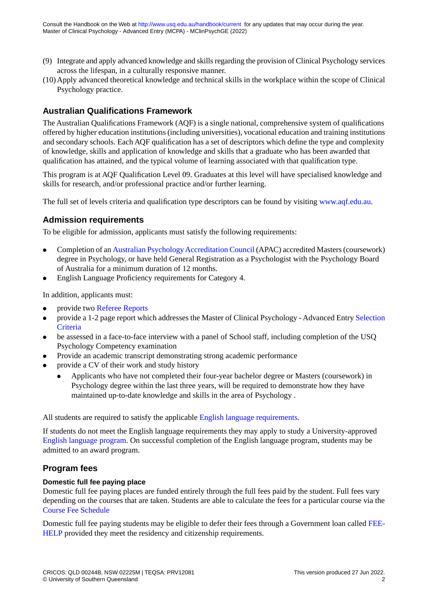- (9) Integrate and apply advanced knowledge and skills regarding the provision of Clinical Psychology services across the lifespan, in a culturally responsive manner.
- (10)Apply advanced theoretical knowledge and technical skills in the workplace within the scope of Clinical Psychology practice.

# **Australian Qualifications Framework**

The Australian Qualifications Framework (AQF) is a single national, comprehensive system of qualifications offered by higher education institutions (including universities), vocational education and training institutions and secondary schools. Each AQF qualification has a set of descriptors which define the type and complexity of knowledge, skills and application of knowledge and skills that a graduate who has been awarded that qualification has attained, and the typical volume of learning associated with that qualification type.

This program is at AQF Qualification Level 09. Graduates at this level will have specialised knowledge and skills for research, and/or professional practice and/or further learning.

The full set of levels criteria and qualification type descriptors can be found by visiting [www.aqf.edu.au](http://www.aqf.edu.au).

# **Admission requirements**

To be eligible for admission, applicants must satisfy the following requirements:

- Completion of an [Australian Psychology Accreditation Council](https://www.psychologycouncil.org.au/) (APAC) accredited Masters (coursework) degree in Psychology, or have held General Registration as a Psychologist with the Psychology Board of Australia for a minimum duration of 12 months.
- English Language Proficiency requirements for Category 4.

In addition, applicants must:

- provide two [Referee Reports](https://www.psychologyreference.org/)
- provide a 1-2 page report which addresses the Master of Clinical Psychology Advanced Entry [Selection](https://www.usq.edu.au/extrafiles/handbook_pdf/MCPA selection criteria_2020.pdf) **[Criteria](https://www.usq.edu.au/extrafiles/handbook_pdf/MCPA selection criteria_2020.pdf)**
- be assessed in a face-to-face interview with a panel of School staff, including completion of the USO Psychology Competency examination
- Provide an academic transcript demonstrating strong academic performance
- provide a CV of their work and study history
	- Applicants who have not completed their four-year bachelor degree or Masters (coursework) in Psychology degree within the last three years, will be required to demonstrate how they have maintained up-to-date knowledge and skills in the area of Psychology .

All students are required to satisfy the applicable [English language requirements.](http://policy.usq.edu.au/documents/14707PL)

If students do not meet the English language requirements they may apply to study a University-approved [English language program.](http://www.usq.edu.au/study/degrees/english-language-programs) On successful completion of the English language program, students may be admitted to an award program.

# **Program fees**

#### **Domestic full fee paying place**

Domestic full fee paying places are funded entirely through the full fees paid by the student. Full fees vary depending on the courses that are taken. Students are able to calculate the fees for a particular course via the [Course Fee Schedule](https://www.usq.edu.au/current-students/administration/fees/fee-schedules)

Domestic full fee paying students may be eligible to defer their fees through a Government loan called [FEE-](https://www.usq.edu.au/current-students/administration/fees/higher-education-loan-program)[HELP](https://www.usq.edu.au/current-students/administration/fees/higher-education-loan-program) provided they meet the residency and citizenship requirements.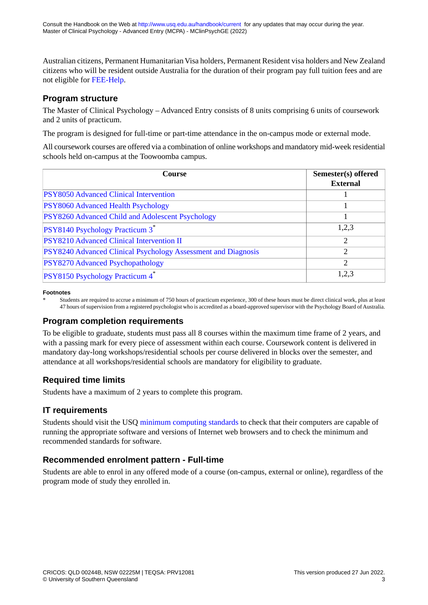Australian citizens, Permanent Humanitarian Visa holders, Permanent Resident visa holders and New Zealand citizens who will be resident outside Australia for the duration of their program pay full tuition fees and are not eligible for [FEE-Help](https://www.usq.edu.au/current-students/administration/fees/higher-education-loan-program).

# **Program structure**

The Master of Clinical Psychology – Advanced Entry consists of 8 units comprising 6 units of coursework and 2 units of practicum.

The program is designed for full-time or part-time attendance in the on-campus mode or external mode.

All coursework courses are offered via a combination of online workshops and mandatory mid-week residential schools held on-campus at the Toowoomba campus.

| <b>Course</b>                                                 | Semester(s) offered<br><b>External</b> |  |  |  |
|---------------------------------------------------------------|----------------------------------------|--|--|--|
| PSY8050 Advanced Clinical Intervention                        |                                        |  |  |  |
| PSY8060 Advanced Health Psychology                            |                                        |  |  |  |
| PSY8260 Advanced Child and Adolescent Psychology              |                                        |  |  |  |
| <b>PSY8140 Psychology Practicum 3<sup>*</sup></b>             | 1,2,3                                  |  |  |  |
| <b>PSY8210</b> Advanced Clinical Intervention II              | 2                                      |  |  |  |
| PSY8240 Advanced Clinical Psychology Assessment and Diagnosis | 2                                      |  |  |  |
| PSY8270 Advanced Psychopathology                              | 2                                      |  |  |  |
| PSY8150 Psychology Practicum 4*                               | 1,2,3                                  |  |  |  |

#### **Footnotes**

Students are required to accrue a minimum of 750 hours of practicum experience, 300 of these hours must be direct clinical work, plus at least 47 hours of supervision from a registered psychologist who is accredited as a board-approved supervisor with the Psychology Board of Australia. \*

# **Program completion requirements**

To be eligible to graduate, students must pass all 8 courses within the maximum time frame of 2 years, and with a passing mark for every piece of assessment within each course. Coursework content is delivered in mandatory day-long workshops/residential schools per course delivered in blocks over the semester, and attendance at all workshops/residential schools are mandatory for eligibility to graduate.

# **Required time limits**

Students have a maximum of 2 years to complete this program.

# **IT requirements**

Students should visit the USQ [minimum computing standards](http://www.usq.edu.au/current-students/ict/hardware-software) to check that their computers are capable of running the appropriate software and versions of Internet web browsers and to check the minimum and recommended standards for software.

# **Recommended enrolment pattern - Full-time**

Students are able to enrol in any offered mode of a course (on-campus, external or online), regardless of the program mode of study they enrolled in.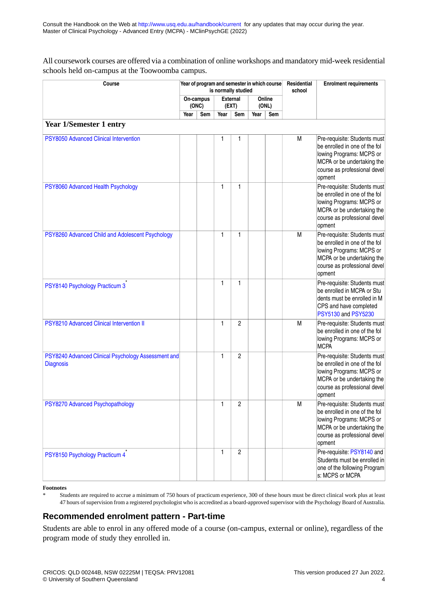All coursework courses are offered via a combination of online workshops and mandatory mid-week residential schools held on-campus at the Toowoomba campus.

| Course                                                                  |  | Year of program and semester in which course<br>is normally studied |              |                          |      |                 |   | <b>Enrolment requirements</b>                                                                                                                                     |
|-------------------------------------------------------------------------|--|---------------------------------------------------------------------|--------------|--------------------------|------|-----------------|---|-------------------------------------------------------------------------------------------------------------------------------------------------------------------|
|                                                                         |  | On-campus<br>(ONC)                                                  |              | <b>External</b><br>(EXT) |      | Online<br>(ONL) |   |                                                                                                                                                                   |
|                                                                         |  | Sem                                                                 | Year         | Sem                      | Year | Sem             |   |                                                                                                                                                                   |
| <b>Year 1/Semester 1 entry</b>                                          |  |                                                                     |              |                          |      |                 |   |                                                                                                                                                                   |
| PSY8050 Advanced Clinical Intervention                                  |  |                                                                     | 1            | 1                        |      |                 | M | Pre-requisite: Students must<br>be enrolled in one of the fol<br>lowing Programs: MCPS or<br>MCPA or be undertaking the<br>course as professional devel<br>opment |
| PSY8060 Advanced Health Psychology                                      |  |                                                                     | 1            | 1                        |      |                 |   | Pre-requisite: Students must<br>be enrolled in one of the fol<br>lowing Programs: MCPS or<br>MCPA or be undertaking the<br>course as professional devel<br>opment |
| PSY8260 Advanced Child and Adolescent Psychology                        |  |                                                                     | 1            | 1                        |      |                 | M | Pre-requisite: Students must<br>be enrolled in one of the fol<br>lowing Programs: MCPS or<br>MCPA or be undertaking the<br>course as professional devel<br>opment |
| PSY8140 Psychology Practicum 3                                          |  |                                                                     | $\mathbf{1}$ | 1                        |      |                 |   | Pre-requisite: Students must<br>be enrolled in MCPA or Stu<br>dents must be enrolled in M<br>CPS and have completed<br>PSY5130 and PSY5230                        |
| PSY8210 Advanced Clinical Intervention II                               |  |                                                                     | 1            | $\overline{c}$           |      |                 | M | Pre-requisite: Students must<br>be enrolled in one of the fol<br>lowing Programs: MCPS or<br><b>MCPA</b>                                                          |
| PSY8240 Advanced Clinical Psychology Assessment and<br><b>Diagnosis</b> |  |                                                                     | 1            | $\overline{c}$           |      |                 |   | Pre-requisite: Students must<br>be enrolled in one of the fol<br>lowing Programs: MCPS or<br>MCPA or be undertaking the<br>course as professional devel<br>opment |
| PSY8270 Advanced Psychopathology                                        |  |                                                                     | 1            | 2                        |      |                 | M | Pre-requisite: Students must<br>be enrolled in one of the fol<br>lowing Programs: MCPS or<br>MCPA or be undertaking the<br>course as professional devel<br>opment |
| PSY8150 Psychology Practicum 4                                          |  |                                                                     | 1            | $\overline{2}$           |      |                 |   | Pre-requisite: PSY8140 and<br>Students must be enrolled in<br>one of the following Program<br>s: MCPS or MCPA                                                     |

#### **Footnotes**

Students are required to accrue a minimum of 750 hours of practicum experience, 300 of these hours must be direct clinical work plus at least 47 hours of supervision from a registered psychologist who is accredited as a board-approved supervisor with the Psychology Board of Australia. \*

#### **Recommended enrolment pattern - Part-time**

Students are able to enrol in any offered mode of a course (on-campus, external or online), regardless of the program mode of study they enrolled in.